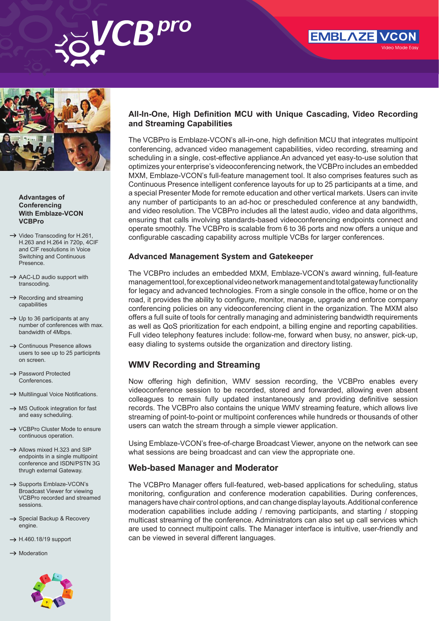



**Advantages of Conferencing With Emblaze-VCON VCBPro**

- $\rightarrow$  Video Transcoding for H.261, H.263 and H.264 in 720p, 4CIF and CIF resolutions in Voice Switching and Continuous Presence.
- → AAC-LD audio support with transcoding.
- $\rightarrow$  Recording and streaming capabilities
- $\rightarrow$  Up to 36 participants at any number of conferences with max. bandwidth of 4Mbps.
- $\rightarrow$  Continuous Presence allows users to see up to 25 participnts on screen.
- → Password Protected Conferences.
- $\rightarrow$  Multilingual Voice Notifications.
- $\rightarrow$  MS Outlook integration for fast and easy scheduling.
- → VCBPro Cluster Mode to ensure continuous operation.
- $\rightarrow$  Allows mixed H.323 and SIP endpoints in a single multipoint conference and ISDN/PSTN 3G thrugh external Gateway.
- $\rightarrow$  Supports Emblaze-VCON's Broadcast Viewer for viewing VCBPro recorded and streamed sessions.
- → Special Backup & Recovery engine.
- $\rightarrow$  H.460.18/19 support
- $\rightarrow$  Moderation



# **All-In-One, High Definition MCU with Unique Cascading, Video Recording and Streaming Capabilities**

The VCBPro is Emblaze-VCON's all-in-one, high definition MCU that integrates multipoint conferencing, advanced video management capabilities, video recording, streaming and scheduling in a single, cost-effective appliance.An advanced yet easy-to-use solution that optimizes your enterprise's videoconferencing network, the VCBPro includes an embedded MXM, Emblaze-VCON's full-feature management tool. It also comprises features such as Continuous Presence intelligent conference layouts for up to 25 participants at a time, and a special Presenter Mode for remote education and other vertical markets. Users can invite any number of participants to an ad-hoc or prescheduled conference at any bandwidth, and video resolution. The VCBPro includes all the latest audio, video and data algorithms, ensuring that calls involving standards-based videoconferencing endpoints connect and operate smoothly. The VCBPro is scalable from 6 to 36 ports and now offers a unique and configurable cascading capability across multiple VCBs for larger conferences.

# **Advanced Management System and Gatekeeper**

The VCBPro includes an embedded MXM, Emblaze-VCON's award winning, full-feature management tool, for exceptional video network management and total gateway functionality for legacy and advanced technologies. From a single console in the office, home or on the road, it provides the ability to configure, monitor, manage, upgrade and enforce company conferencing policies on any videoconferencing client in the organization. The MXM also offers a full suite of tools for centrally managing and administering bandwidth requirements as well as QoS prioritization for each endpoint, a billing engine and reporting capabilities. Full video telephony features include: follow-me, forward when busy, no answer, pick-up, easy dialing to systems outside the organization and directory listing.

# **WMV Recording and Streaming**

Now offering high definition, WMV session recording, the VCBPro enables every videoconference session to be recorded, stored and forwarded, allowing even absent colleagues to remain fully updated instantaneously and providing definitive session records. The VCBPro also contains the unique WMV streaming feature, which allows live streaming of point-to-point or multipoint conferences while hundreds or thousands of other users can watch the stream through a simple viewer application.

Using Emblaze-VCON's free-of-charge Broadcast Viewer, anyone on the network can see what sessions are being broadcast and can view the appropriate one.

# **Web-based Manager and Moderator**

The VCBPro Manager offers full-featured, web-based applications for scheduling, status monitoring, configuration and conference moderation capabilities. During conferences, managers have chair control options, and can change display layouts. Additional conference moderation capabilities include adding / removing participants, and starting / stopping multicast streaming of the conference. Administrators can also set up call services which are used to connect multipoint calls. The Manager interface is intuitive, user-friendly and can be viewed in several different languages.